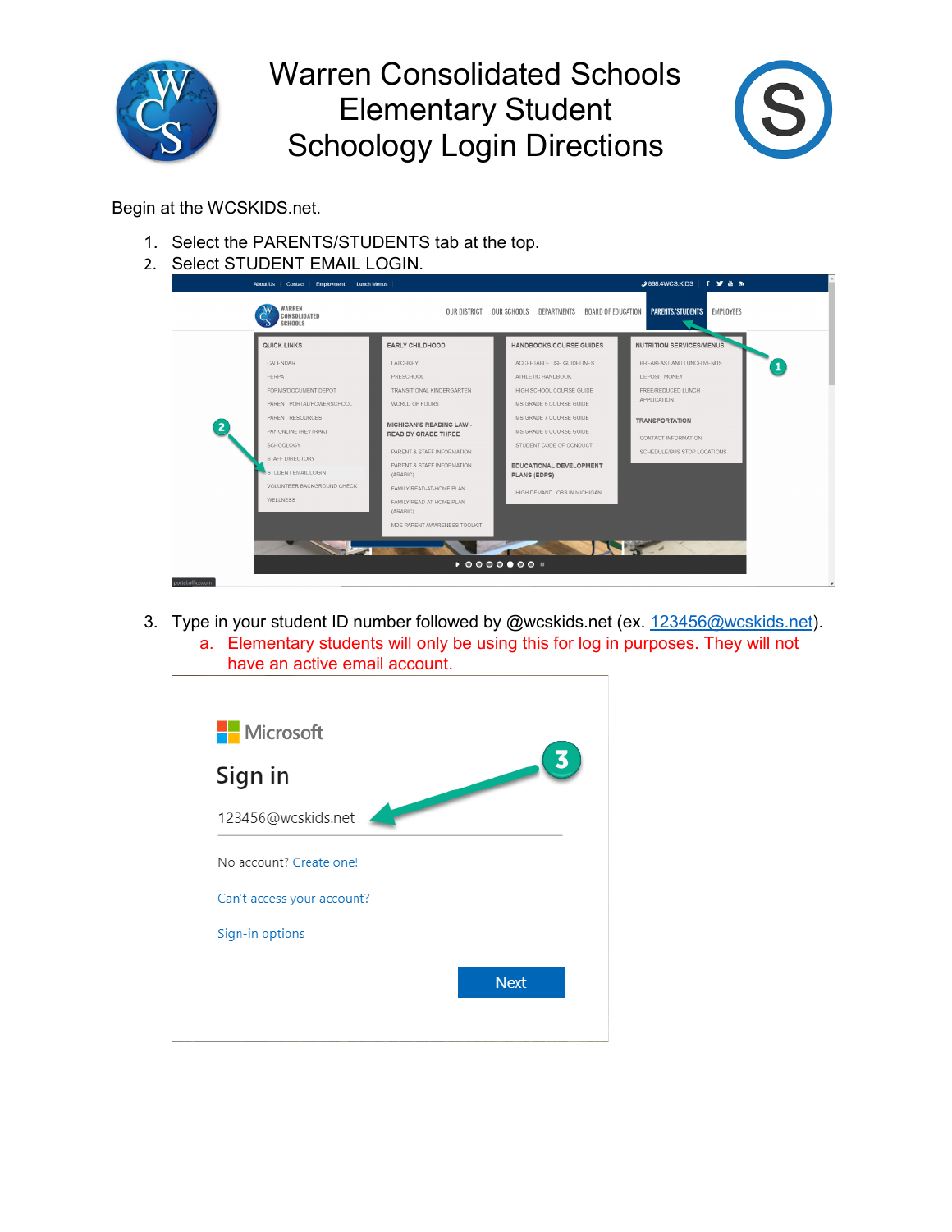

## Warren Consolidated Schools Elementary Student Schoology Login Directions



Begin at the WCSKIDS.net.

- 1. Select the PARENTS/STUDENTS tab at the top.
- 2. Select STUDENT EMAIL LOGIN.

| CONSOLIDATED<br><b>SCHOOLS</b> |                                                               | EMPLOYEES<br>OUR DISTRICT<br><b>BOARD OF EDUCATION</b><br><b>PARENTS/STUDENTS</b><br>OUR SCHOOLS<br>DEPARTMENTS |                                 |  |  |  |  |
|--------------------------------|---------------------------------------------------------------|-----------------------------------------------------------------------------------------------------------------|---------------------------------|--|--|--|--|
| QUICK LINKS                    | <b>EARLY CHILDHOOD</b>                                        | <b>HANDBOOKS/COURSE GUIDES</b>                                                                                  | <b>NUTRITION SERVICES/MENUS</b> |  |  |  |  |
| CALENDAR                       | LATCHKEY                                                      | ACCEPTABLE USE GUIDELINES                                                                                       | BREAKFAST AND LUNCH MENUS       |  |  |  |  |
| <b>FERPA</b>                   | PRESCHOOL                                                     | ATHLETIC HANDBOOK                                                                                               | DEPOSIT MONEY                   |  |  |  |  |
| FORMS/DOCUMENT DEPOT           | TRANSITIONAL KINDERGARTEN                                     | HIGH SCHOOL COURSE GUIDE                                                                                        | FREE/REDUCED LUNCH              |  |  |  |  |
| PARENT PORTAL/POWERSCHOOL      | WORLD OF FOURS                                                | MS GRADE 6 COURSE GUIDE                                                                                         | APPLICATION                     |  |  |  |  |
| PARENT RESOURCES               |                                                               | MS GRADE 7 COURSE GUIDE                                                                                         | <b>TRANSPORTATION</b>           |  |  |  |  |
| PAY ONLINE (REVTRAK)           | <b>MICHIGAN'S READING LAW -</b><br><b>READ BY GRADE THREE</b> | MS GRADE 8 COURSE GUIDE                                                                                         | CONTACT INFORMATION             |  |  |  |  |
| SCHOOLOGY                      | PARENT & STAFF INFORMATION                                    | STUDENT CODE OF CONDUCT                                                                                         | SCHEDULE/BUS STOP LOCATIONS     |  |  |  |  |
| STAFF DIRECTORY                | PARENT & STAFF INFORMATION                                    | EDUCATIONAL DEVELOPMENT                                                                                         |                                 |  |  |  |  |
| STUDENT EMAIL LOGIN            | (ARABIC)                                                      | <b>PLANS (EDPS)</b>                                                                                             |                                 |  |  |  |  |
| VOLUNTEER BACKGROUND CHECK     | FAMILY READ-AT-HOME PLAN                                      | HIGH DEMAND JOBS IN MICHIGAN                                                                                    |                                 |  |  |  |  |
| <b>WELLNESS</b>                | FAMILY READ-AT-HOME PLAN<br>(ARABIC)                          |                                                                                                                 |                                 |  |  |  |  |
|                                | MDE PARENT AWARENESS TOOLKIT                                  |                                                                                                                 |                                 |  |  |  |  |
|                                |                                                               |                                                                                                                 |                                 |  |  |  |  |

3. Type in your student ID number followed by @wcskids.net (ex. [123456@wcskids.net\)](mailto:123456@wcskids.net). a. Elementary students will only be using this for log in purposes. They will not



| <b>Nicrosoft</b>           |             |
|----------------------------|-------------|
| Sign in                    |             |
| 123456@wcskids.net         |             |
| No account? Create one!    |             |
| Can't access your account? |             |
| Sign-in options            |             |
|                            | <b>Next</b> |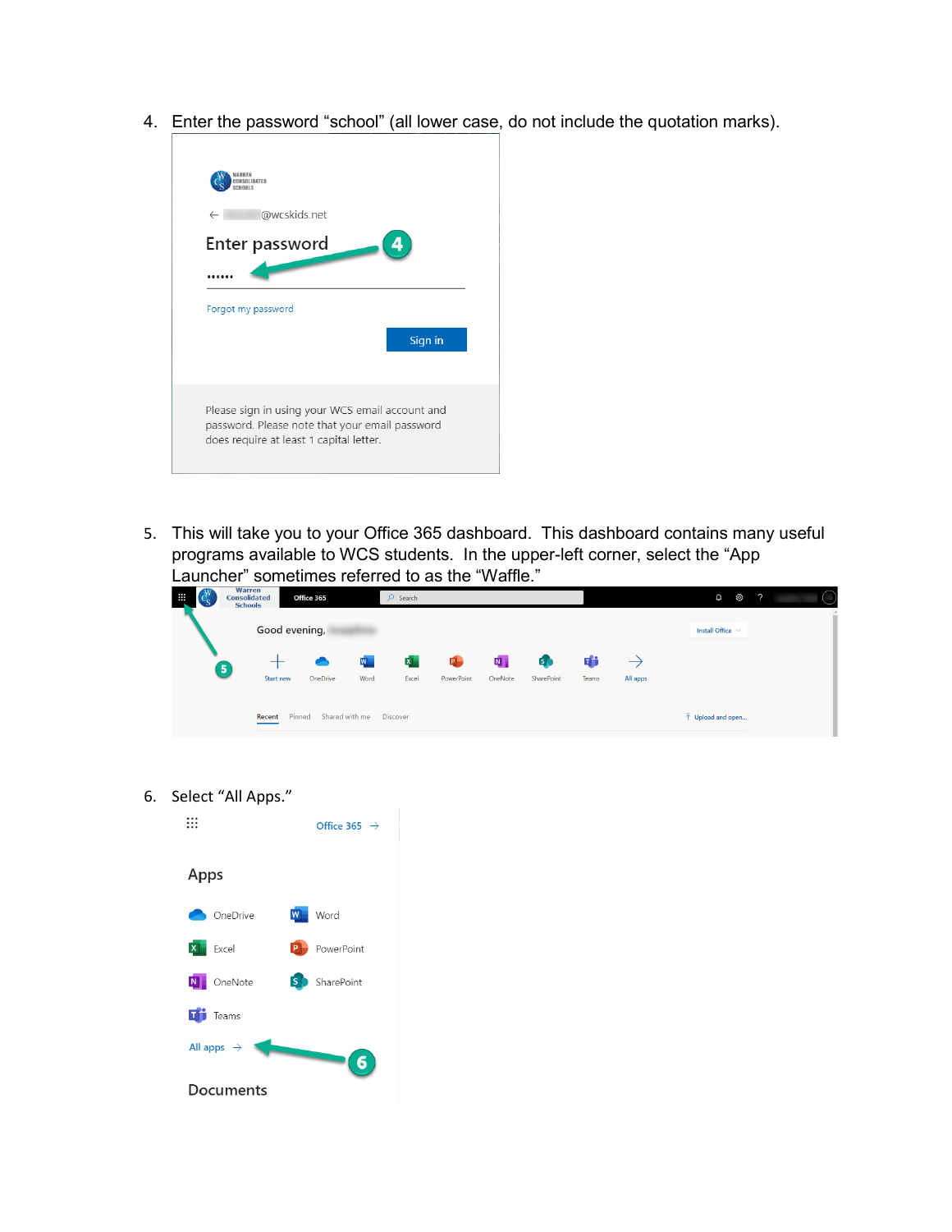4. Enter the password "school" (all lower case, do not include the quotation marks).



5. This will take you to your Office 365 dashboard. This dashboard contains many useful programs available to WCS students. In the upper-left corner, select the "App Launcher" sometimes referred to as the "Waffle."

| ₩                                                     | <b>Warren</b><br><b>Consolidated</b><br><b>Schools</b> | Office 365       |          | $O$ Search |                     |                |         |              |       |                                  | ශ<br>O. | $\gamma$ |  |
|-------------------------------------------------------|--------------------------------------------------------|------------------|----------|------------|---------------------|----------------|---------|--------------|-------|----------------------------------|---------|----------|--|
|                                                       | Good evening,                                          |                  |          |            |                     |                |         |              |       | Install Office $\sim$            |         |          |  |
|                                                       | 5                                                      |                  |          | W          | $\mathbf{x}^{\top}$ | $\blacksquare$ | 四       | $\mathsf{S}$ | di    |                                  |         |          |  |
|                                                       |                                                        | <b>Start new</b> | OneDrive | Word       | Excel               | PowerPoint     | OneNote | SharePoint   | Teams | All apps                         |         |          |  |
| Pinned<br>Shared with me<br><b>Discover</b><br>Recent |                                                        |                  |          |            |                     |                |         |              |       | $\bar{\uparrow}$ Upload and open |         |          |  |

6. Select "All Apps."

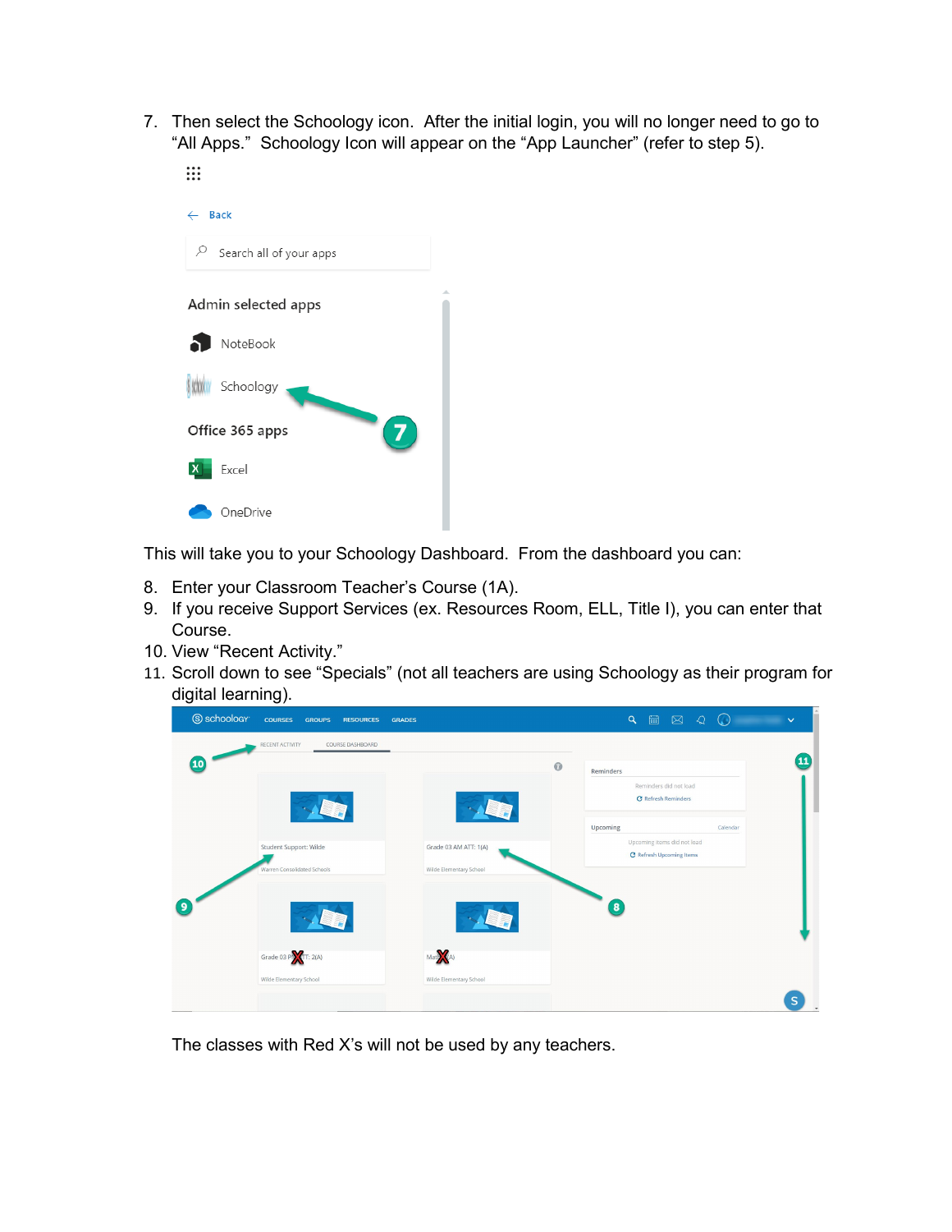7. Then select the Schoology icon. After the initial login, you will no longer need to go to "All Apps." Schoology Icon will appear on the "App Launcher" (refer to step 5).  $\vdots$ 



This will take you to your Schoology Dashboard. From the dashboard you can:

- 8. Enter your Classroom Teacher's Course (1A).
- 9. If you receive Support Services (ex. Resources Room, ELL, Title I), you can enter that Course.
- 10. View "Recent Activity."
- 11. Scroll down to see "Specials" (not all teachers are using Schoology as their program for digital learning).



The classes with Red X's will not be used by any teachers.